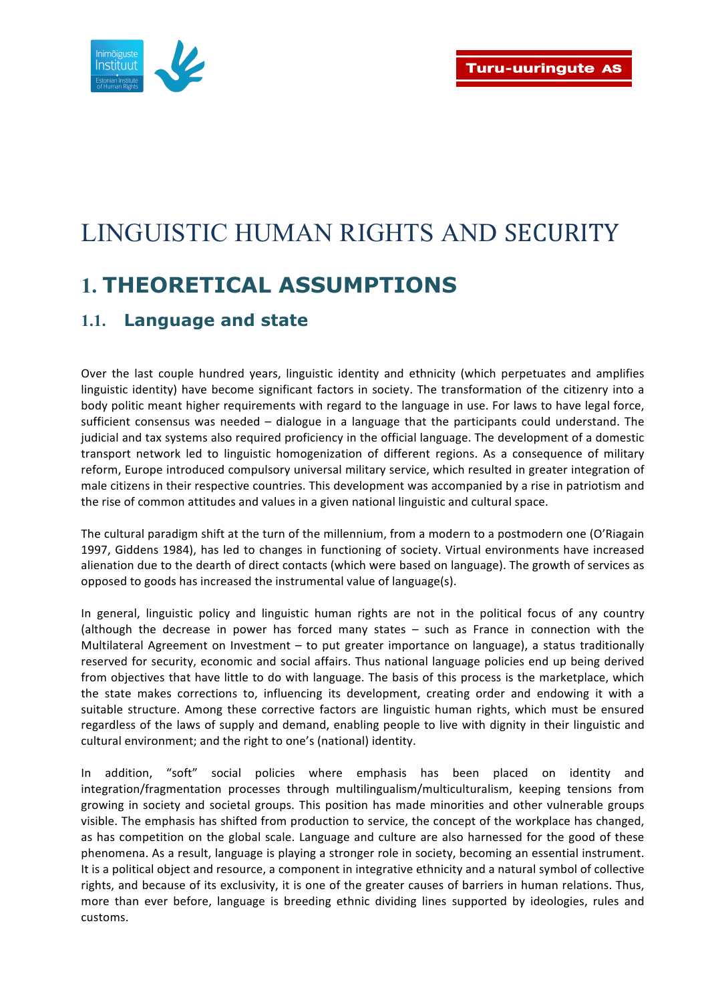

# LINGUISTIC HUMAN RIGHTS AND SECURITY **1. THEORETICAL ASSUMPTIONS**

#### **1.1. Language and state**

Over the last couple hundred vears, linguistic identity and ethnicity (which perpetuates and amplifies linguistic identity) have become significant factors in society. The transformation of the citizenry into a body politic meant higher requirements with regard to the language in use. For laws to have legal force, sufficient consensus was needed – dialogue in a language that the participants could understand. The judicial and tax systems also required proficiency in the official language. The development of a domestic transport network led to linguistic homogenization of different regions. As a consequence of military reform, Europe introduced compulsory universal military service, which resulted in greater integration of male citizens in their respective countries. This development was accompanied by a rise in patriotism and the rise of common attitudes and values in a given national linguistic and cultural space.

The cultural paradigm shift at the turn of the millennium, from a modern to a postmodern one (O'Riagain 1997, Giddens 1984), has led to changes in functioning of society. Virtual environments have increased alienation due to the dearth of direct contacts (which were based on language). The growth of services as opposed to goods has increased the instrumental value of language(s).

In general, linguistic policy and linguistic human rights are not in the political focus of any country (although the decrease in power has forced many states - such as France in connection with the Multilateral Agreement on Investment  $-$  to put greater importance on language), a status traditionally reserved for security, economic and social affairs. Thus national language policies end up being derived from objectives that have little to do with language. The basis of this process is the marketplace, which the state makes corrections to, influencing its development, creating order and endowing it with a suitable structure. Among these corrective factors are linguistic human rights, which must be ensured regardless of the laws of supply and demand, enabling people to live with dignity in their linguistic and cultural environment; and the right to one's (national) identity.

In addition, "soft" social policies where emphasis has been placed on identity and integration/fragmentation processes through multilingualism/multiculturalism, keeping tensions from growing in society and societal groups. This position has made minorities and other vulnerable groups visible. The emphasis has shifted from production to service, the concept of the workplace has changed, as has competition on the global scale. Language and culture are also harnessed for the good of these phenomena. As a result, language is playing a stronger role in society, becoming an essential instrument. It is a political object and resource, a component in integrative ethnicity and a natural symbol of collective rights, and because of its exclusivity, it is one of the greater causes of barriers in human relations. Thus, more than ever before, language is breeding ethnic dividing lines supported by ideologies, rules and customs.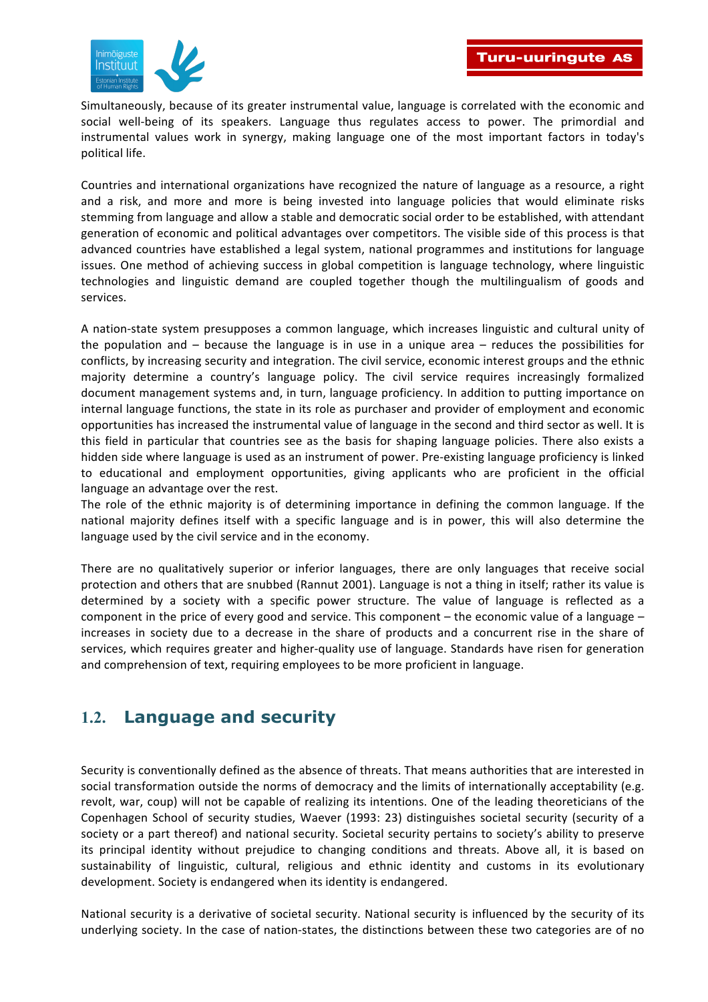

Simultaneously, because of its greater instrumental value, language is correlated with the economic and social well-being of its speakers. Language thus regulates access to power. The primordial and instrumental values work in synergy, making language one of the most important factors in today's political life.

Countries and international organizations have recognized the nature of language as a resource, a right and a risk, and more and more is being invested into language policies that would eliminate risks stemming from language and allow a stable and democratic social order to be established, with attendant generation of economic and political advantages over competitors. The visible side of this process is that advanced countries have established a legal system, national programmes and institutions for language issues. One method of achieving success in global competition is language technology, where linguistic technologies and linguistic demand are coupled together though the multilingualism of goods and services. 

A nation-state system presupposes a common language, which increases linguistic and cultural unity of the population and  $-$  because the language is in use in a unique area  $-$  reduces the possibilities for conflicts, by increasing security and integration. The civil service, economic interest groups and the ethnic majority determine a country's language policy. The civil service requires increasingly formalized document management systems and, in turn, language proficiency. In addition to putting importance on internal language functions, the state in its role as purchaser and provider of employment and economic opportunities has increased the instrumental value of language in the second and third sector as well. It is this field in particular that countries see as the basis for shaping language policies. There also exists a hidden side where language is used as an instrument of power. Pre-existing language proficiency is linked to educational and employment opportunities, giving applicants who are proficient in the official language an advantage over the rest.

The role of the ethnic majority is of determining importance in defining the common language. If the national majority defines itself with a specific language and is in power, this will also determine the language used by the civil service and in the economy.

There are no qualitatively superior or inferior languages, there are only languages that receive social protection and others that are snubbed (Rannut 2001). Language is not a thing in itself; rather its value is determined by a society with a specific power structure. The value of language is reflected as a component in the price of every good and service. This component – the economic value of a language – increases in society due to a decrease in the share of products and a concurrent rise in the share of services, which requires greater and higher-quality use of language. Standards have risen for generation and comprehension of text, requiring employees to be more proficient in language.

#### **1.2. Language and security**

Security is conventionally defined as the absence of threats. That means authorities that are interested in social transformation outside the norms of democracy and the limits of internationally acceptability (e.g. revolt, war, coup) will not be capable of realizing its intentions. One of the leading theoreticians of the Copenhagen School of security studies, Waever (1993: 23) distinguishes societal security (security of a society or a part thereof) and national security. Societal security pertains to society's ability to preserve its principal identity without prejudice to changing conditions and threats. Above all, it is based on sustainability of linguistic, cultural, religious and ethnic identity and customs in its evolutionary development. Society is endangered when its identity is endangered.

National security is a derivative of societal security. National security is influenced by the security of its underlying society. In the case of nation-states, the distinctions between these two categories are of no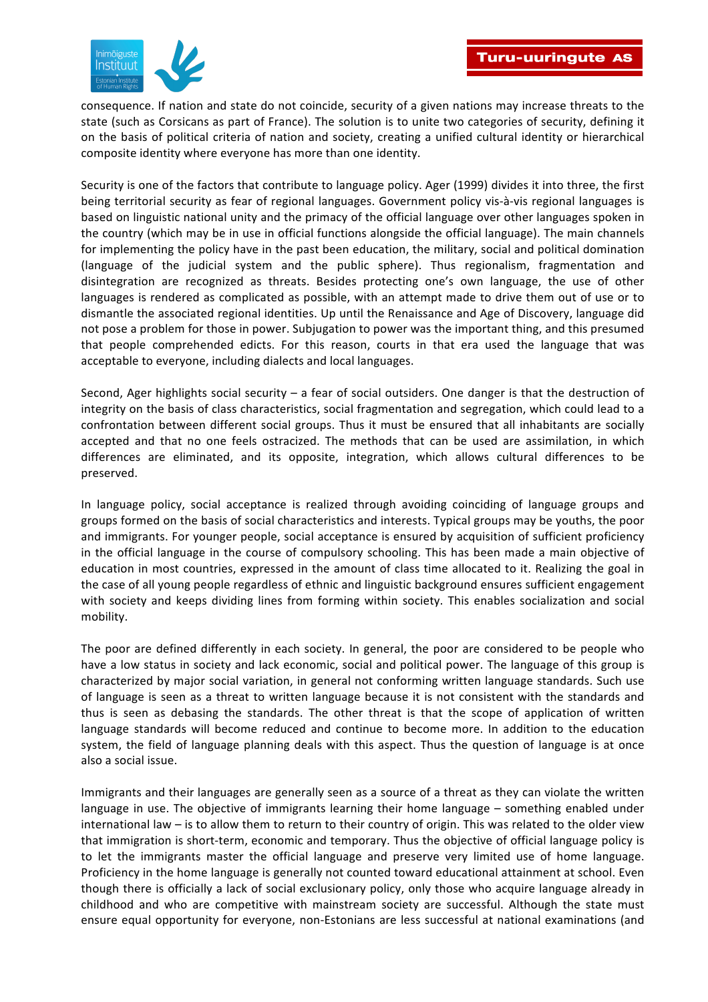

consequence. If nation and state do not coincide, security of a given nations may increase threats to the state (such as Corsicans as part of France). The solution is to unite two categories of security, defining it on the basis of political criteria of nation and society, creating a unified cultural identity or hierarchical composite identity where everyone has more than one identity.

Security is one of the factors that contribute to language policy. Ager (1999) divides it into three, the first being territorial security as fear of regional languages. Government policy vis-à-vis regional languages is based on linguistic national unity and the primacy of the official language over other languages spoken in the country (which may be in use in official functions alongside the official language). The main channels for implementing the policy have in the past been education, the military, social and political domination (language of the judicial system and the public sphere). Thus regionalism, fragmentation and disintegration are recognized as threats. Besides protecting one's own language, the use of other languages is rendered as complicated as possible, with an attempt made to drive them out of use or to dismantle the associated regional identities. Up until the Renaissance and Age of Discovery, language did not pose a problem for those in power. Subjugation to power was the important thing, and this presumed that people comprehended edicts. For this reason, courts in that era used the language that was acceptable to everyone, including dialects and local languages.

Second, Ager highlights social security – a fear of social outsiders. One danger is that the destruction of integrity on the basis of class characteristics, social fragmentation and segregation, which could lead to a confrontation between different social groups. Thus it must be ensured that all inhabitants are socially accepted and that no one feels ostracized. The methods that can be used are assimilation, in which differences are eliminated, and its opposite, integration, which allows cultural differences to be preserved. 

In language policy, social acceptance is realized through avoiding coinciding of language groups and groups formed on the basis of social characteristics and interests. Typical groups may be youths, the poor and immigrants. For younger people, social acceptance is ensured by acquisition of sufficient proficiency in the official language in the course of compulsory schooling. This has been made a main objective of education in most countries, expressed in the amount of class time allocated to it. Realizing the goal in the case of all young people regardless of ethnic and linguistic background ensures sufficient engagement with society and keeps dividing lines from forming within society. This enables socialization and social mobility.

The poor are defined differently in each society. In general, the poor are considered to be people who have a low status in society and lack economic, social and political power. The language of this group is characterized by major social variation, in general not conforming written language standards. Such use of language is seen as a threat to written language because it is not consistent with the standards and thus is seen as debasing the standards. The other threat is that the scope of application of written language standards will become reduced and continue to become more. In addition to the education system, the field of language planning deals with this aspect. Thus the question of language is at once also a social issue.

Immigrants and their languages are generally seen as a source of a threat as they can violate the written language in use. The objective of immigrants learning their home language – something enabled under international law – is to allow them to return to their country of origin. This was related to the older view that immigration is short-term, economic and temporary. Thus the objective of official language policy is to let the immigrants master the official language and preserve very limited use of home language. Proficiency in the home language is generally not counted toward educational attainment at school. Even though there is officially a lack of social exclusionary policy, only those who acquire language already in childhood and who are competitive with mainstream society are successful. Although the state must ensure equal opportunity for everyone, non-Estonians are less successful at national examinations (and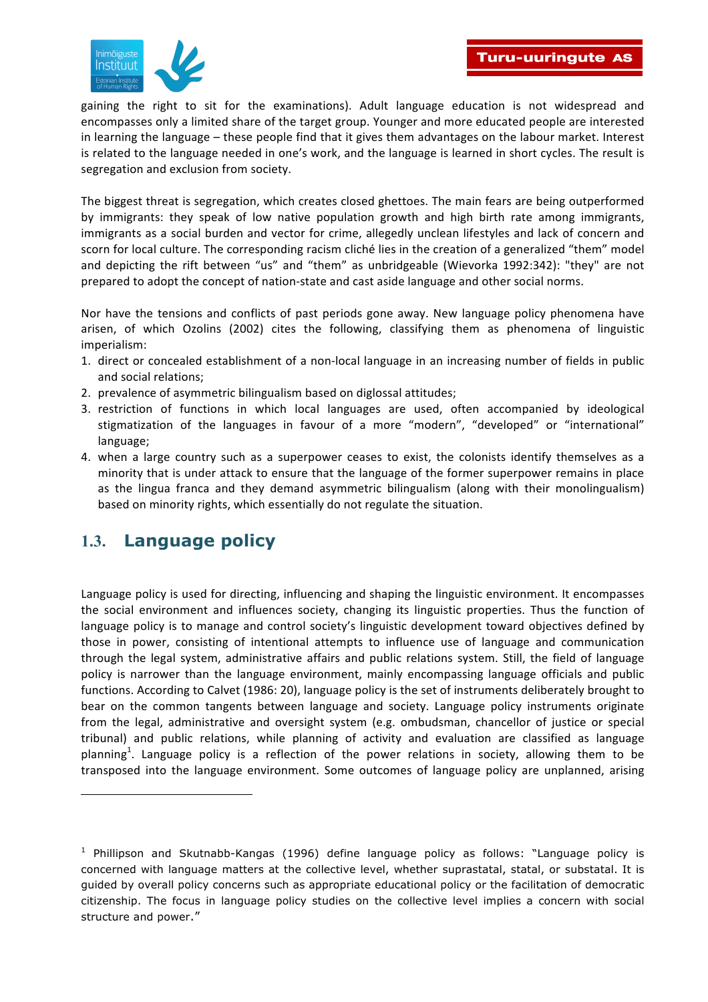

gaining the right to sit for the examinations). Adult language education is not widespread and encompasses only a limited share of the target group. Younger and more educated people are interested in learning the language – these people find that it gives them advantages on the labour market. Interest is related to the language needed in one's work, and the language is learned in short cycles. The result is segregation and exclusion from society.

The biggest threat is segregation, which creates closed ghettoes. The main fears are being outperformed by immigrants: they speak of low native population growth and high birth rate among immigrants, immigrants as a social burden and vector for crime, allegedly unclean lifestyles and lack of concern and scorn for local culture. The corresponding racism cliché lies in the creation of a generalized "them" model and depicting the rift between "us" and "them" as unbridgeable (Wievorka 1992:342): "they" are not prepared to adopt the concept of nation-state and cast aside language and other social norms.

Nor have the tensions and conflicts of past periods gone away. New language policy phenomena have arisen, of which Ozolins (2002) cites the following, classifying them as phenomena of linguistic imperialism:

- 1. direct or concealed establishment of a non-local language in an increasing number of fields in public and social relations:
- 2. prevalence of asymmetric bilingualism based on diglossal attitudes;
- 3. restriction of functions in which local languages are used, often accompanied by ideological stigmatization of the languages in favour of a more "modern", "developed" or "international" language;
- 4. when a large country such as a superpower ceases to exist, the colonists identify themselves as a minority that is under attack to ensure that the language of the former superpower remains in place as the lingua franca and they demand asymmetric bilingualism (along with their monolingualism) based on minority rights, which essentially do not regulate the situation.

#### **1.3. Language policy**

ı

Language policy is used for directing, influencing and shaping the linguistic environment. It encompasses the social environment and influences society, changing its linguistic properties. Thus the function of language policy is to manage and control society's linguistic development toward objectives defined by those in power, consisting of intentional attempts to influence use of language and communication through the legal system, administrative affairs and public relations system. Still, the field of language policy is narrower than the language environment, mainly encompassing language officials and public functions. According to Calvet (1986: 20), language policy is the set of instruments deliberately brought to bear on the common tangents between language and society. Language policy instruments originate from the legal, administrative and oversight system (e.g. ombudsman, chancellor of justice or special tribunal) and public relations, while planning of activity and evaluation are classified as language planning<sup>1</sup>. Language policy is a reflection of the power relations in society, allowing them to be transposed into the language environment. Some outcomes of language policy are unplanned, arising

<sup>&</sup>lt;sup>1</sup> Phillipson and Skutnabb-Kangas (1996) define language policy as follows: "Language policy is concerned with language matters at the collective level, whether suprastatal, statal, or substatal. It is guided by overall policy concerns such as appropriate educational policy or the facilitation of democratic citizenship. The focus in language policy studies on the collective level implies a concern with social structure and power."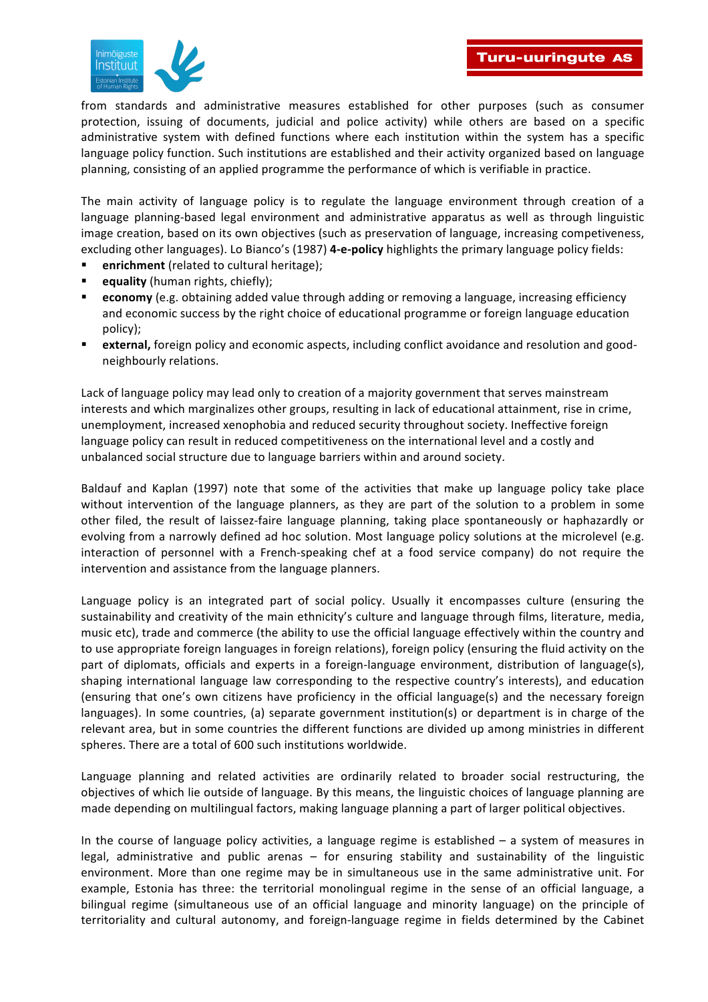

from standards and administrative measures established for other purposes (such as consumer protection, issuing of documents, judicial and police activity) while others are based on a specific administrative system with defined functions where each institution within the system has a specific language policy function. Such institutions are established and their activity organized based on language planning, consisting of an applied programme the performance of which is verifiable in practice.

The main activity of language policy is to regulate the language environment through creation of a language planning-based legal environment and administrative apparatus as well as through linguistic image creation, based on its own objectives (such as preservation of language, increasing competiveness, excluding other languages). Lo Bianco's (1987) **4-e-policy** highlights the primary language policy fields:

- **enrichment** (related to cultural heritage);
- equality (human rights, chiefly);
- economy (e.g. obtaining added value through adding or removing a language, increasing efficiency and economic success by the right choice of educational programme or foreign language education policy);
- external, foreign policy and economic aspects, including conflict avoidance and resolution and goodneighbourly relations.

Lack of language policy may lead only to creation of a majority government that serves mainstream interests and which marginalizes other groups, resulting in lack of educational attainment, rise in crime, unemployment, increased xenophobia and reduced security throughout society. Ineffective foreign language policy can result in reduced competitiveness on the international level and a costly and unbalanced social structure due to language barriers within and around society.

Baldauf and Kaplan (1997) note that some of the activities that make up language policy take place without intervention of the language planners, as they are part of the solution to a problem in some other filed, the result of laissez-faire language planning, taking place spontaneously or haphazardly or evolving from a narrowly defined ad hoc solution. Most language policy solutions at the microlevel (e.g. interaction of personnel with a French-speaking chef at a food service company) do not require the intervention and assistance from the language planners.

Language policy is an integrated part of social policy. Usually it encompasses culture (ensuring the sustainability and creativity of the main ethnicity's culture and language through films, literature, media, music etc), trade and commerce (the ability to use the official language effectively within the country and to use appropriate foreign languages in foreign relations), foreign policy (ensuring the fluid activity on the part of diplomats, officials and experts in a foreign-language environment, distribution of language(s), shaping international language law corresponding to the respective country's interests), and education (ensuring that one's own citizens have proficiency in the official language(s) and the necessary foreign languages). In some countries, (a) separate government institution(s) or department is in charge of the relevant area, but in some countries the different functions are divided up among ministries in different spheres. There are a total of 600 such institutions worldwide.

Language planning and related activities are ordinarily related to broader social restructuring, the objectives of which lie outside of language. By this means, the linguistic choices of language planning are made depending on multilingual factors, making language planning a part of larger political objectives.

In the course of language policy activities, a language regime is established  $-$  a system of measures in legal, administrative and public arenas  $-$  for ensuring stability and sustainability of the linguistic environment. More than one regime may be in simultaneous use in the same administrative unit. For example, Estonia has three: the territorial monolingual regime in the sense of an official language, a bilingual regime (simultaneous use of an official language and minority language) on the principle of territoriality and cultural autonomy, and foreign-language regime in fields determined by the Cabinet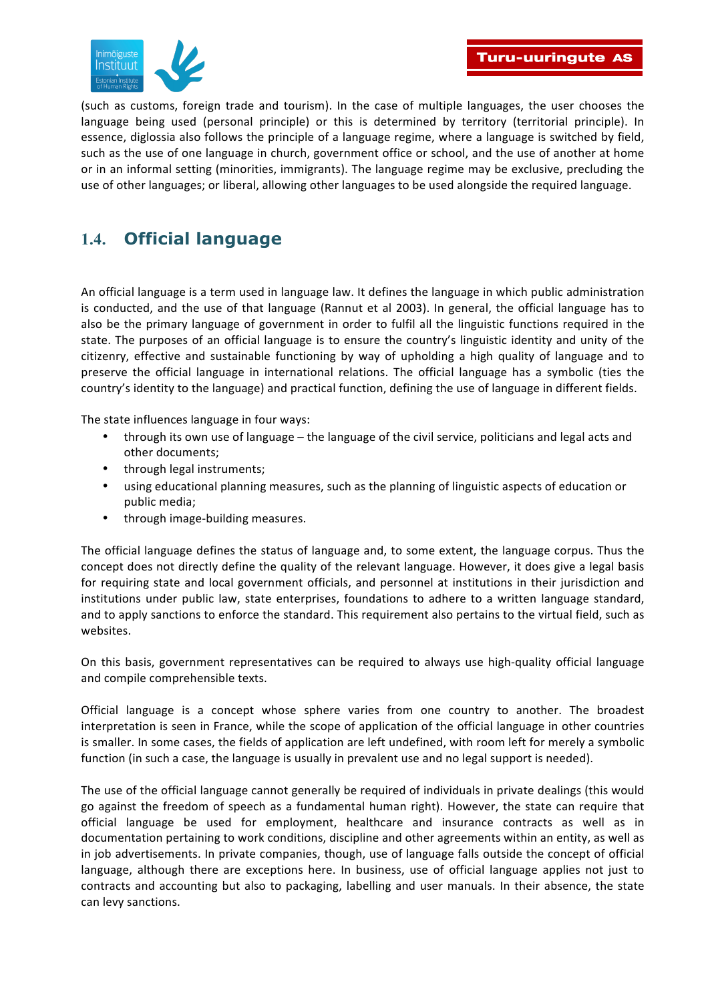

(such as customs, foreign trade and tourism). In the case of multiple languages, the user chooses the language being used (personal principle) or this is determined by territory (territorial principle). In essence, diglossia also follows the principle of a language regime, where a language is switched by field, such as the use of one language in church, government office or school, and the use of another at home or in an informal setting (minorities, immigrants). The language regime may be exclusive, precluding the use of other languages; or liberal, allowing other languages to be used alongside the required language.

### **1.4. Official language**

An official language is a term used in language law. It defines the language in which public administration is conducted, and the use of that language (Rannut et al 2003). In general, the official language has to also be the primary language of government in order to fulfil all the linguistic functions required in the state. The purposes of an official language is to ensure the country's linguistic identity and unity of the citizenry, effective and sustainable functioning by way of upholding a high quality of language and to preserve the official language in international relations. The official language has a symbolic (ties the country's identity to the language) and practical function, defining the use of language in different fields.

The state influences language in four ways:

- through its own use of language the language of the civil service, politicians and legal acts and other documents;
- through legal instruments;
- using educational planning measures, such as the planning of linguistic aspects of education or public media;
- through image-building measures.

The official language defines the status of language and, to some extent, the language corpus. Thus the concept does not directly define the quality of the relevant language. However, it does give a legal basis for requiring state and local government officials, and personnel at institutions in their jurisdiction and institutions under public law, state enterprises, foundations to adhere to a written language standard, and to apply sanctions to enforce the standard. This requirement also pertains to the virtual field, such as websites.

On this basis, government representatives can be required to always use high-quality official language and compile comprehensible texts.

Official language is a concept whose sphere varies from one country to another. The broadest interpretation is seen in France, while the scope of application of the official language in other countries is smaller. In some cases, the fields of application are left undefined, with room left for merely a symbolic function (in such a case, the language is usually in prevalent use and no legal support is needed).

The use of the official language cannot generally be required of individuals in private dealings (this would go against the freedom of speech as a fundamental human right). However, the state can require that official language be used for employment, healthcare and insurance contracts as well as in documentation pertaining to work conditions, discipline and other agreements within an entity, as well as in job advertisements. In private companies, though, use of language falls outside the concept of official language, although there are exceptions here. In business, use of official language applies not just to contracts and accounting but also to packaging, labelling and user manuals. In their absence, the state can levy sanctions.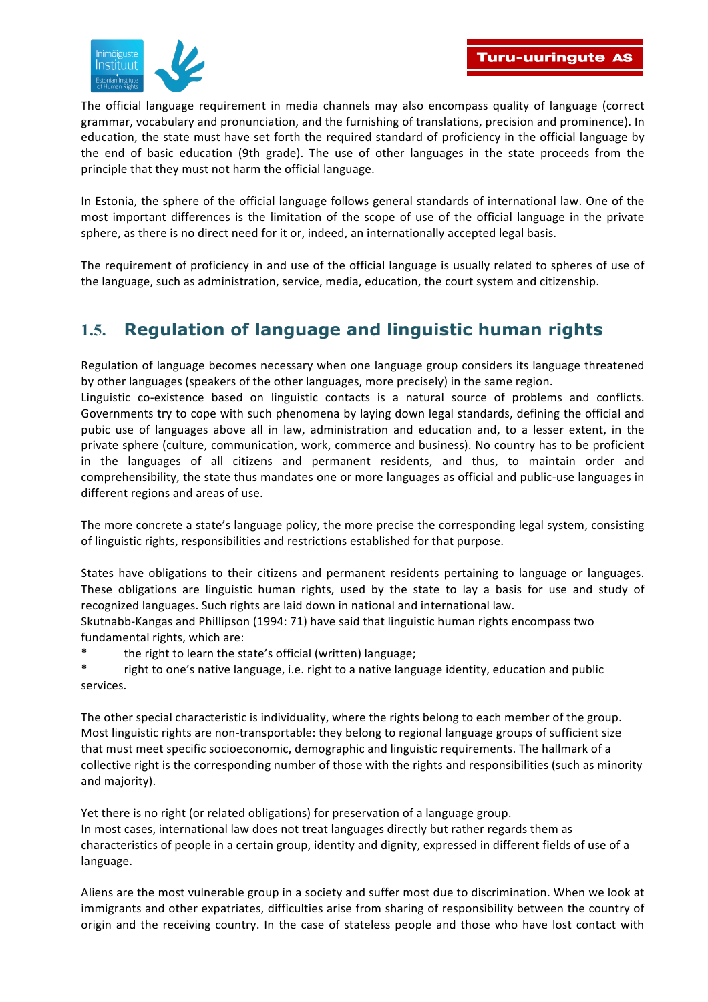

The official language requirement in media channels may also encompass quality of language (correct grammar, vocabulary and pronunciation, and the furnishing of translations, precision and prominence). In education, the state must have set forth the required standard of proficiency in the official language by the end of basic education (9th grade). The use of other languages in the state proceeds from the principle that they must not harm the official language.

In Estonia, the sphere of the official language follows general standards of international law. One of the most important differences is the limitation of the scope of use of the official language in the private sphere, as there is no direct need for it or, indeed, an internationally accepted legal basis.

The requirement of proficiency in and use of the official language is usually related to spheres of use of the language, such as administration, service, media, education, the court system and citizenship.

# **1.5. Regulation of language and linguistic human rights**

Regulation of language becomes necessary when one language group considers its language threatened by other languages (speakers of the other languages, more precisely) in the same region.

Linguistic co-existence based on linguistic contacts is a natural source of problems and conflicts. Governments try to cope with such phenomena by laving down legal standards, defining the official and pubic use of languages above all in law, administration and education and, to a lesser extent, in the private sphere (culture, communication, work, commerce and business). No country has to be proficient in the languages of all citizens and permanent residents, and thus, to maintain order and comprehensibility, the state thus mandates one or more languages as official and public-use languages in different regions and areas of use.

The more concrete a state's language policy, the more precise the corresponding legal system, consisting of linguistic rights, responsibilities and restrictions established for that purpose.

States have obligations to their citizens and permanent residents pertaining to language or languages. These obligations are linguistic human rights, used by the state to lay a basis for use and study of recognized languages. Such rights are laid down in national and international law.

Skutnabb-Kangas and Phillipson (1994: 71) have said that linguistic human rights encompass two fundamental rights, which are:

the right to learn the state's official (written) language;

right to one's native language, i.e. right to a native language identity, education and public services. 

The other special characteristic is individuality, where the rights belong to each member of the group. Most linguistic rights are non-transportable: they belong to regional language groups of sufficient size that must meet specific socioeconomic, demographic and linguistic requirements. The hallmark of a collective right is the corresponding number of those with the rights and responsibilities (such as minority and majority).

Yet there is no right (or related obligations) for preservation of a language group. In most cases, international law does not treat languages directly but rather regards them as characteristics of people in a certain group, identity and dignity, expressed in different fields of use of a language.

Aliens are the most vulnerable group in a society and suffer most due to discrimination. When we look at immigrants and other expatriates, difficulties arise from sharing of responsibility between the country of origin and the receiving country. In the case of stateless people and those who have lost contact with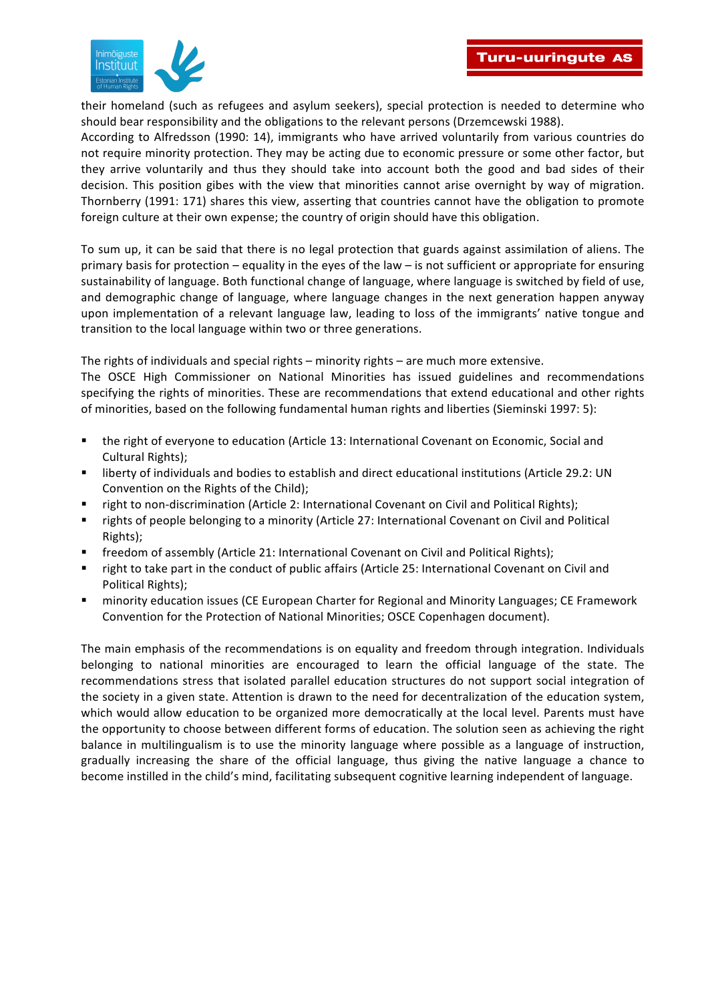

their homeland (such as refugees and asylum seekers), special protection is needed to determine who should bear responsibility and the obligations to the relevant persons (Drzemcewski 1988).

According to Alfredsson (1990: 14), immigrants who have arrived voluntarily from various countries do not require minority protection. They may be acting due to economic pressure or some other factor, but they arrive voluntarily and thus they should take into account both the good and bad sides of their decision. This position gibes with the view that minorities cannot arise overnight by way of migration. Thornberry (1991: 171) shares this view, asserting that countries cannot have the obligation to promote foreign culture at their own expense; the country of origin should have this obligation.

To sum up, it can be said that there is no legal protection that guards against assimilation of aliens. The primary basis for protection – equality in the eyes of the law – is not sufficient or appropriate for ensuring sustainability of language. Both functional change of language, where language is switched by field of use, and demographic change of language, where language changes in the next generation happen anyway upon implementation of a relevant language law, leading to loss of the immigrants' native tongue and transition to the local language within two or three generations.

The rights of individuals and special rights – minority rights – are much more extensive.

The OSCE High Commissioner on National Minorities has issued guidelines and recommendations specifying the rights of minorities. These are recommendations that extend educational and other rights of minorities, based on the following fundamental human rights and liberties (Sieminski 1997: 5):

- the right of everyone to education (Article 13: International Covenant on Economic, Social and Cultural Rights);
- liberty of individuals and bodies to establish and direct educational institutions (Article 29.2: UN Convention on the Rights of the Child);
- right to non-discrimination (Article 2: International Covenant on Civil and Political Rights);
- rights of people belonging to a minority (Article 27: International Covenant on Civil and Political Rights);
- freedom of assembly (Article 21: International Covenant on Civil and Political Rights);
- right to take part in the conduct of public affairs (Article 25: International Covenant on Civil and Political Rights);
- minority education issues (CE European Charter for Regional and Minority Languages; CE Framework Convention for the Protection of National Minorities; OSCE Copenhagen document).

The main emphasis of the recommendations is on equality and freedom through integration. Individuals belonging to national minorities are encouraged to learn the official language of the state. The recommendations stress that isolated parallel education structures do not support social integration of the society in a given state. Attention is drawn to the need for decentralization of the education system, which would allow education to be organized more democratically at the local level. Parents must have the opportunity to choose between different forms of education. The solution seen as achieving the right balance in multilingualism is to use the minority language where possible as a language of instruction, gradually increasing the share of the official language, thus giving the native language a chance to become instilled in the child's mind, facilitating subsequent cognitive learning independent of language.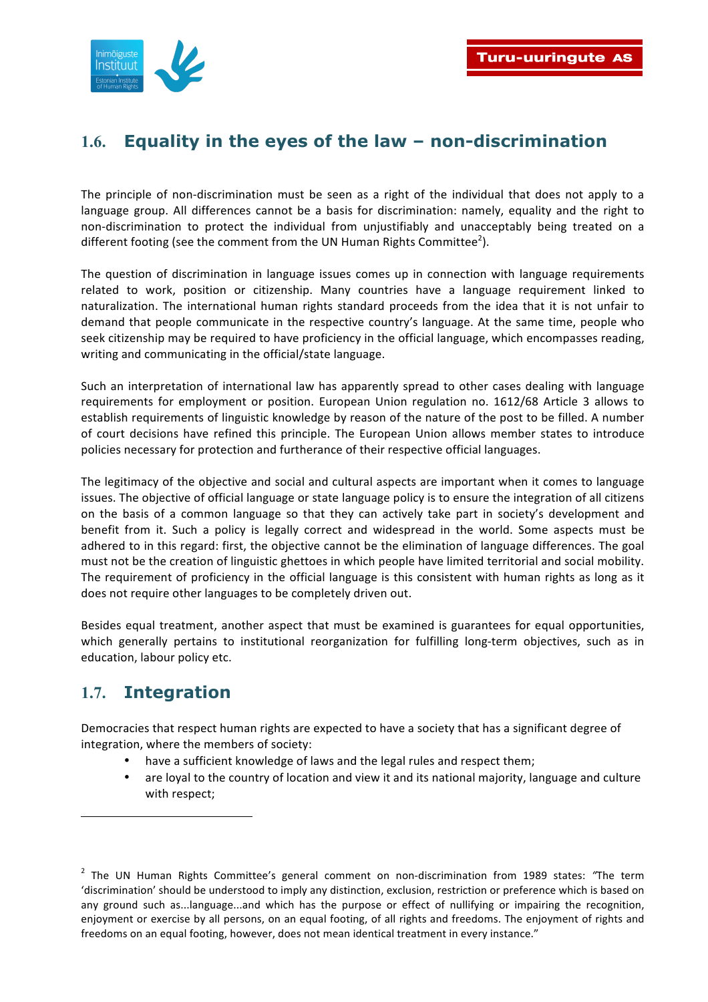## **1.6. Equality in the eyes of the law – non-discrimination**

The principle of non-discrimination must be seen as a right of the individual that does not apply to a language group. All differences cannot be a basis for discrimination: namely, equality and the right to non-discrimination to protect the individual from unjustifiably and unacceptably being treated on a different footing (see the comment from the UN Human Rights Committee<sup>2</sup>).

The question of discrimination in language issues comes up in connection with language requirements related to work, position or citizenship. Many countries have a language requirement linked to naturalization. The international human rights standard proceeds from the idea that it is not unfair to demand that people communicate in the respective country's language. At the same time, people who seek citizenship may be required to have proficiency in the official language, which encompasses reading, writing and communicating in the official/state language.

Such an interpretation of international law has apparently spread to other cases dealing with language requirements for employment or position. European Union regulation no. 1612/68 Article 3 allows to establish requirements of linguistic knowledge by reason of the nature of the post to be filled. A number of court decisions have refined this principle. The European Union allows member states to introduce policies necessary for protection and furtherance of their respective official languages.

The legitimacy of the objective and social and cultural aspects are important when it comes to language issues. The objective of official language or state language policy is to ensure the integration of all citizens on the basis of a common language so that they can actively take part in society's development and benefit from it. Such a policy is legally correct and widespread in the world. Some aspects must be adhered to in this regard: first, the objective cannot be the elimination of language differences. The goal must not be the creation of linguistic ghettoes in which people have limited territorial and social mobility. The requirement of proficiency in the official language is this consistent with human rights as long as it does not require other languages to be completely driven out.

Besides equal treatment, another aspect that must be examined is guarantees for equal opportunities, which generally pertains to institutional reorganization for fulfilling long-term objectives, such as in education, labour policy etc.

### **1.7. Integration**

-

Democracies that respect human rights are expected to have a society that has a significant degree of integration, where the members of society:

- have a sufficient knowledge of laws and the legal rules and respect them;
- are loyal to the country of location and view it and its national majority, language and culture with respect;

<sup>&</sup>lt;sup>2</sup> The UN Human Rights Committee's general comment on non-discrimination from 1989 states: "The term 'discrimination' should be understood to imply any distinction, exclusion, restriction or preference which is based on any ground such as...language...and which has the purpose or effect of nullifying or impairing the recognition, enjoyment or exercise by all persons, on an equal footing, of all rights and freedoms. The enjoyment of rights and freedoms on an equal footing, however, does not mean identical treatment in every instance."